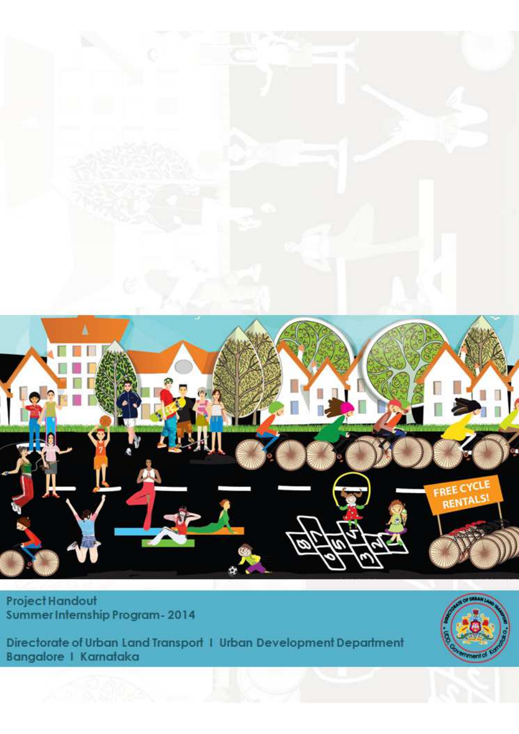

Project Handout Summer Internship Program-2014

Directorate of Urban Land Transport 1 Urban Development Department<br>Bangalore 1 Karnataka

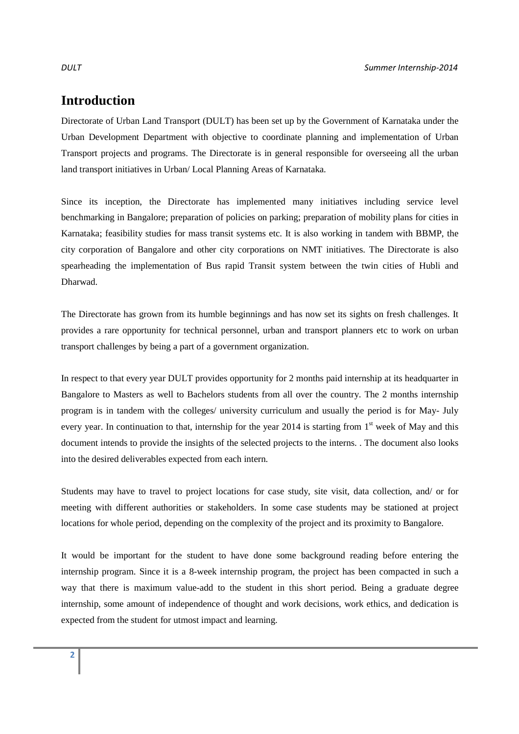# **Introduction**

Directorate of Urban Land Transport (DULT) has been set up by the Government of Karnataka under the Urban Development Department with objective to coordinate planning and implementation of Urban Transport projects and programs. The Directorate is in general responsible for overseeing all the urban land transport initiatives in Urban/ Local Planning Areas of Karnataka.

Since its inception, the Directorate has implemented many initiatives including service level benchmarking in Bangalore; preparation of policies on parking; preparation of mobility plans for cities in Karnataka; feasibility studies for mass transit systems etc. It is also working in tandem with BBMP, the city corporation of Bangalore and other city corporations on NMT initiatives. The Directorate is also spearheading the implementation of Bus rapid Transit system between the twin cities of Hubli and Dharwad.

The Directorate has grown from its humble beginnings and has now set its sights on fresh challenges. It provides a rare opportunity for technical personnel, urban and transport planners etc to work on urban transport challenges by being a part of a government organization.

In respect to that every year DULT provides opportunity for 2 months paid internship at its headquarter in Bangalore to Masters as well to Bachelors students from all over the country. The 2 months internship program is in tandem with the colleges/ university curriculum and usually the period is for May- July every year. In continuation to that, internship for the year 2014 is starting from  $1<sup>st</sup>$  week of May and this document intends to provide the insights of the selected projects to the interns. . The document also looks into the desired deliverables expected from each intern.

Students may have to travel to project locations for case study, site visit, data collection, and/ or for meeting with different authorities or stakeholders. In some case students may be stationed at project locations for whole period, depending on the complexity of the project and its proximity to Bangalore.

It would be important for the student to have done some background reading before entering the internship program. Since it is a 8-week internship program, the project has been compacted in such a way that there is maximum value-add to the student in this short period. Being a graduate degree internship, some amount of independence of thought and work decisions, work ethics, and dedication is expected from the student for utmost impact and learning.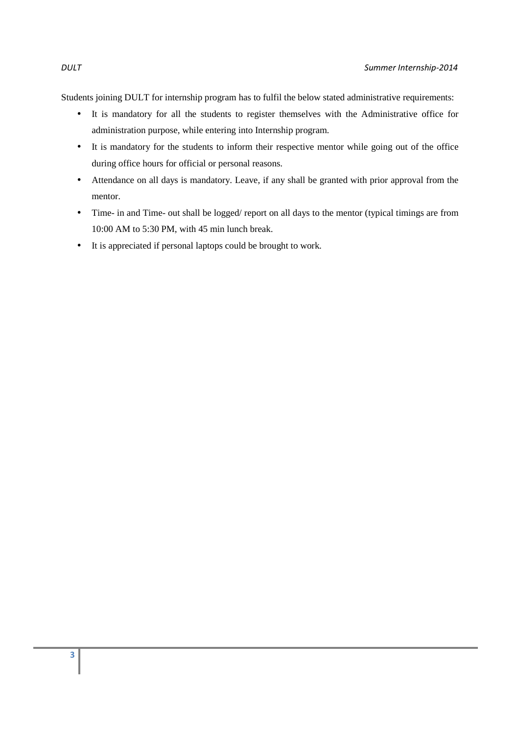Students joining DULT for internship program has to fulfil the below stated administrative requirements:

- It is mandatory for all the students to register themselves with the Administrative office for administration purpose, while entering into Internship program.
- It is mandatory for the students to inform their respective mentor while going out of the office during office hours for official or personal reasons.
- Attendance on all days is mandatory. Leave, if any shall be granted with prior approval from the mentor.
- Time- in and Time- out shall be logged/ report on all days to the mentor (typical timings are from 10:00 AM to 5:30 PM, with 45 min lunch break.
- It is appreciated if personal laptops could be brought to work.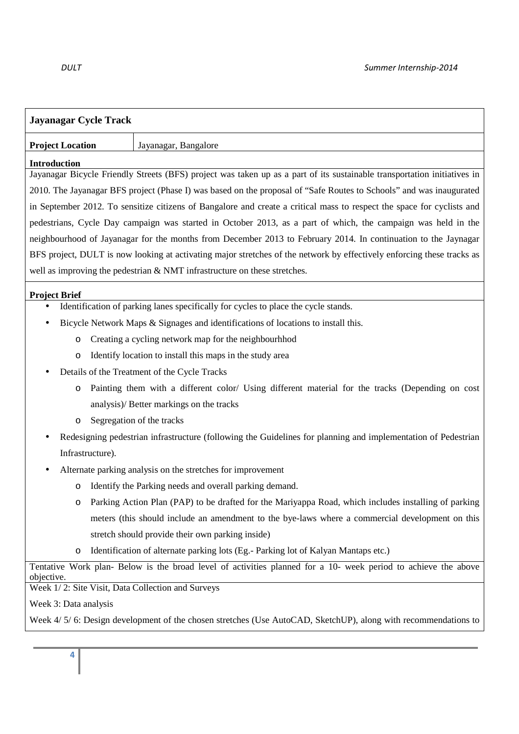| <b>Jayanagar Cycle Track</b>                                                                                                 |                                                                                                                          |  |  |
|------------------------------------------------------------------------------------------------------------------------------|--------------------------------------------------------------------------------------------------------------------------|--|--|
| <b>Project Location</b>                                                                                                      | Jayanagar, Bangalore                                                                                                     |  |  |
| <b>Introduction</b>                                                                                                          |                                                                                                                          |  |  |
|                                                                                                                              | Jayanagar Bicycle Friendly Streets (BFS) project was taken up as a part of its sustainable transportation initiatives in |  |  |
| 2010. The Jayanagar BFS project (Phase I) was based on the proposal of "Safe Routes to Schools" and was inaugurated          |                                                                                                                          |  |  |
| in September 2012. To sensitize citizens of Bangalore and create a critical mass to respect the space for cyclists and       |                                                                                                                          |  |  |
| pedestrians, Cycle Day campaign was started in October 2013, as a part of which, the campaign was held in the                |                                                                                                                          |  |  |
| neighbourhood of Jayanagar for the months from December 2013 to February 2014. In continuation to the Jaynagar               |                                                                                                                          |  |  |
|                                                                                                                              | BFS project, DULT is now looking at activating major stretches of the network by effectively enforcing these tracks as   |  |  |
|                                                                                                                              | well as improving the pedestrian $& NMT$ infrastructure on these stretches.                                              |  |  |
| <b>Project Brief</b>                                                                                                         |                                                                                                                          |  |  |
|                                                                                                                              | Identification of parking lanes specifically for cycles to place the cycle stands.                                       |  |  |
|                                                                                                                              | Bicycle Network Maps & Signages and identifications of locations to install this.                                        |  |  |
| O                                                                                                                            | Creating a cycling network map for the neighbourhhod                                                                     |  |  |
| O                                                                                                                            | Identify location to install this maps in the study area                                                                 |  |  |
|                                                                                                                              | Details of the Treatment of the Cycle Tracks                                                                             |  |  |
| O                                                                                                                            | Painting them with a different color/ Using different material for the tracks (Depending on cost                         |  |  |
| analysis)/ Better markings on the tracks                                                                                     |                                                                                                                          |  |  |
| Segregation of the tracks<br>O                                                                                               |                                                                                                                          |  |  |
| Redesigning pedestrian infrastructure (following the Guidelines for planning and implementation of Pedestrian                |                                                                                                                          |  |  |
| Infrastructure).                                                                                                             |                                                                                                                          |  |  |
| Alternate parking analysis on the stretches for improvement                                                                  |                                                                                                                          |  |  |
| O                                                                                                                            | Identify the Parking needs and overall parking demand.                                                                   |  |  |
| O                                                                                                                            | Parking Action Plan (PAP) to be drafted for the Mariyappa Road, which includes installing of parking                     |  |  |
|                                                                                                                              | meters (this should include an amendment to the bye-laws where a commercial development on this                          |  |  |
|                                                                                                                              | stretch should provide their own parking inside)                                                                         |  |  |
| O                                                                                                                            | Identification of alternate parking lots (Eg.- Parking lot of Kalyan Mantaps etc.)                                       |  |  |
| Tentative Work plan- Below is the broad level of activities planned for a 10- week period to achieve the above<br>objective. |                                                                                                                          |  |  |
| Week 1/2: Site Visit, Data Collection and Surveys                                                                            |                                                                                                                          |  |  |
| Week 3: Data analysis                                                                                                        |                                                                                                                          |  |  |
|                                                                                                                              | Week 4/ 5/ 6: Design development of the chosen stretches (Use AutoCAD, SketchUP), along with recommendations to          |  |  |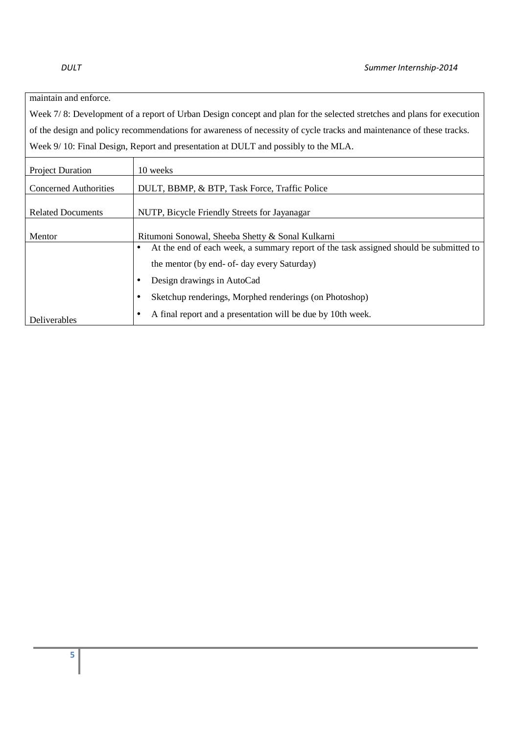### maintain and enforce.

Week 7/8: Development of a report of Urban Design concept and plan for the selected stretches and plans for execution of the design and policy recommendations for awareness of necessity of cycle tracks and maintenance of these tracks. Week 9/ 10: Final Design, Report and presentation at DULT and possibly to the MLA.

| <b>Project Duration</b>      | 10 weeks                                                                              |  |  |  |
|------------------------------|---------------------------------------------------------------------------------------|--|--|--|
| <b>Concerned Authorities</b> | DULT, BBMP, & BTP, Task Force, Traffic Police                                         |  |  |  |
| <b>Related Documents</b>     | NUTP, Bicycle Friendly Streets for Jayanagar                                          |  |  |  |
| Mentor                       | Ritumoni Sonowal, Sheeba Shetty & Sonal Kulkarni                                      |  |  |  |
|                              | At the end of each week, a summary report of the task assigned should be submitted to |  |  |  |
|                              | the mentor (by end- of- day every Saturday)                                           |  |  |  |
|                              | Design drawings in AutoCad                                                            |  |  |  |
|                              | Sketchup renderings, Morphed renderings (on Photoshop)                                |  |  |  |
| <b>Deliverables</b>          | A final report and a presentation will be due by 10th week.                           |  |  |  |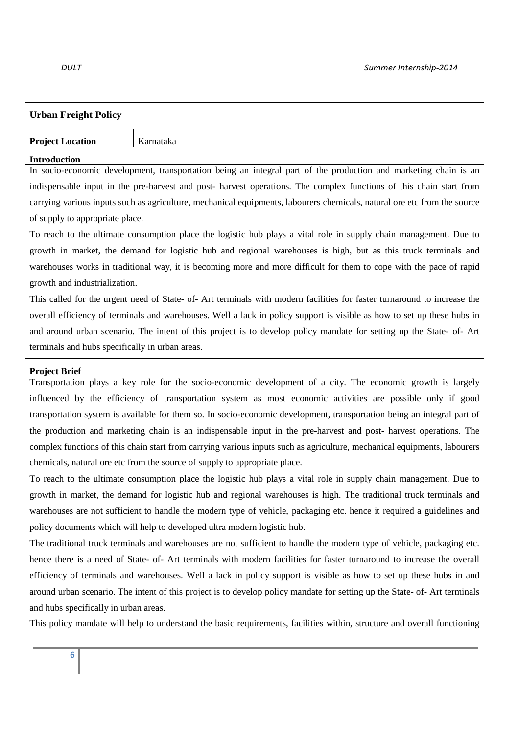| <b>Urban Freight Policy</b>                                                                                              |                                                                                                                           |  |  |
|--------------------------------------------------------------------------------------------------------------------------|---------------------------------------------------------------------------------------------------------------------------|--|--|
| <b>Project Location</b>                                                                                                  | Karnataka                                                                                                                 |  |  |
| <b>Introduction</b>                                                                                                      |                                                                                                                           |  |  |
|                                                                                                                          | In socio-economic development, transportation being an integral part of the production and marketing chain is an          |  |  |
|                                                                                                                          | indispensable input in the pre-harvest and post- harvest operations. The complex functions of this chain start from       |  |  |
| carrying various inputs such as agriculture, mechanical equipments, labourers chemicals, natural ore etc from the source |                                                                                                                           |  |  |
| of supply to appropriate place.                                                                                          |                                                                                                                           |  |  |
| To reach to the ultimate consumption place the logistic hub plays a vital role in supply chain management. Due to        |                                                                                                                           |  |  |
|                                                                                                                          | growth in market, the demand for logistic hub and regional warehouses is high, but as this truck terminals and            |  |  |
|                                                                                                                          | warehouses works in traditional way, it is becoming more and more difficult for them to cope with the pace of rapid       |  |  |
| growth and industrialization.                                                                                            |                                                                                                                           |  |  |
| This called for the urgent need of State- of-Art terminals with modern facilities for faster turnaround to increase the  |                                                                                                                           |  |  |
| overall efficiency of terminals and warehouses. Well a lack in policy support is visible as how to set up these hubs in  |                                                                                                                           |  |  |
|                                                                                                                          | and around urban scenario. The intent of this project is to develop policy mandate for setting up the State- of-Art       |  |  |
| terminals and hubs specifically in urban areas.                                                                          |                                                                                                                           |  |  |
| <b>Project Brief</b>                                                                                                     |                                                                                                                           |  |  |
|                                                                                                                          | Transportation plays a key role for the socio-economic development of a city. The economic growth is largely              |  |  |
| influenced by the efficiency of transportation system as most economic activities are possible only if good              |                                                                                                                           |  |  |
| transportation system is available for them so. In socio-economic development, transportation being an integral part of  |                                                                                                                           |  |  |
| the production and marketing chain is an indispensable input in the pre-harvest and post- harvest operations. The        |                                                                                                                           |  |  |
| complex functions of this chain start from carrying various inputs such as agriculture, mechanical equipments, labourers |                                                                                                                           |  |  |
| chemicals, natural ore etc from the source of supply to appropriate place.                                               |                                                                                                                           |  |  |
| To reach to the ultimate consumption place the logistic hub plays a vital role in supply chain management. Due to        |                                                                                                                           |  |  |
| growth in market, the demand for logistic hub and regional warehouses is high. The traditional truck terminals and       |                                                                                                                           |  |  |
| warehouses are not sufficient to handle the modern type of vehicle, packaging etc. hence it required a guidelines and    |                                                                                                                           |  |  |
| policy documents which will help to developed ultra modern logistic hub.                                                 |                                                                                                                           |  |  |
| The traditional truck terminals and warehouses are not sufficient to handle the modern type of vehicle, packaging etc.   |                                                                                                                           |  |  |
| hence there is a need of State- of-Art terminals with modern facilities for faster turnaround to increase the overall    |                                                                                                                           |  |  |
|                                                                                                                          | efficiency of terminals and warehouses. Well a lack in policy support is visible as how to set up these hubs in and       |  |  |
|                                                                                                                          | around urban scenario. The intent of this project is to develop policy mandate for setting up the State- of-Art terminals |  |  |
| and hubs specifically in urban areas.                                                                                    |                                                                                                                           |  |  |
| This policy mandate will help to understand the basic requirements, facilities within, structure and overall functioning |                                                                                                                           |  |  |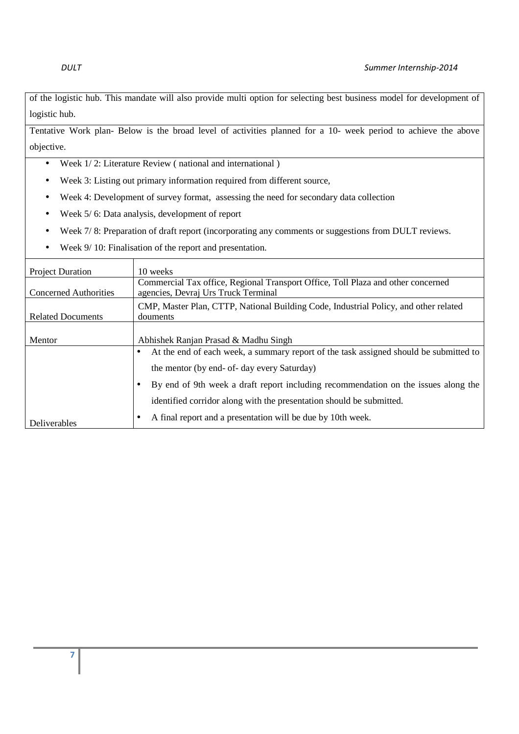of the logistic hub. This mandate will also provide multi option for selecting best business model for development of logistic hub.

Tentative Work plan- Below is the broad level of activities planned for a 10- week period to achieve the above objective.

- Week  $1/2$ : Literature Review (national and international)
- Week 3: Listing out primary information required from different source,
- Week 4: Development of survey format, assessing the need for secondary data collection
- Week 5/ 6: Data analysis, development of report
- Week 7/ 8: Preparation of draft report (incorporating any comments or suggestions from DULT reviews.
- Week  $9/10$ : Finalisation of the report and presentation.

| <b>Project Duration</b>      | 10 weeks                                                                                                                |  |  |  |
|------------------------------|-------------------------------------------------------------------------------------------------------------------------|--|--|--|
| <b>Concerned Authorities</b> | Commercial Tax office, Regional Transport Office, Toll Plaza and other concerned<br>agencies, Devraj Urs Truck Terminal |  |  |  |
| <b>Related Documents</b>     | CMP, Master Plan, CTTP, National Building Code, Industrial Policy, and other related<br>douments                        |  |  |  |
| Mentor                       | Abhishek Ranjan Prasad & Madhu Singh                                                                                    |  |  |  |
|                              | At the end of each week, a summary report of the task assigned should be submitted to<br>٠                              |  |  |  |
|                              | the mentor (by end- of- day every Saturday)                                                                             |  |  |  |
|                              | By end of 9th week a draft report including recommendation on the issues along the<br>$\bullet$                         |  |  |  |
|                              | identified corridor along with the presentation should be submitted.                                                    |  |  |  |
| <b>Deliverables</b>          | A final report and a presentation will be due by 10th week.                                                             |  |  |  |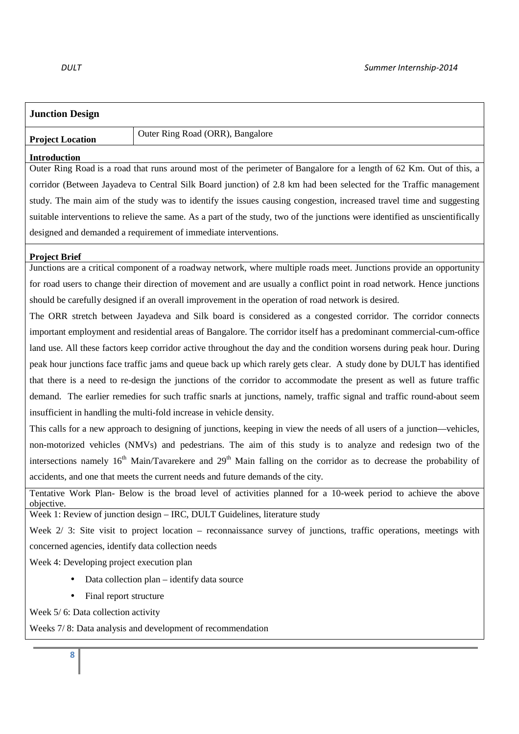| <b>Junction Design</b>                                                                                                                    |                                                                                                                        |  |
|-------------------------------------------------------------------------------------------------------------------------------------------|------------------------------------------------------------------------------------------------------------------------|--|
| <b>Project Location</b>                                                                                                                   | Outer Ring Road (ORR), Bangalore                                                                                       |  |
| <b>Introduction</b>                                                                                                                       |                                                                                                                        |  |
| Outer Ring Road is a road that runs around most of the perimeter of Bangalore for a length of 62 Km. Out of this, a                       |                                                                                                                        |  |
| corridor (Between Jayadeva to Central Silk Board junction) of 2.8 km had been selected for the Traffic management                         |                                                                                                                        |  |
| study. The main aim of the study was to identify the issues causing congestion, increased travel time and suggesting                      |                                                                                                                        |  |
| suitable interventions to relieve the same. As a part of the study, two of the junctions were identified as unscientifically              |                                                                                                                        |  |
|                                                                                                                                           | designed and demanded a requirement of immediate interventions.                                                        |  |
| <b>Project Brief</b>                                                                                                                      |                                                                                                                        |  |
|                                                                                                                                           | Junctions are a critical component of a roadway network, where multiple roads meet. Junctions provide an opportunity   |  |
|                                                                                                                                           | for road users to change their direction of movement and are usually a conflict point in road network. Hence junctions |  |
|                                                                                                                                           | should be carefully designed if an overall improvement in the operation of road network is desired.                    |  |
| The ORR stretch between Jayadeva and Silk board is considered as a congested corridor. The corridor connects                              |                                                                                                                        |  |
| important employment and residential areas of Bangalore. The corridor itself has a predominant commercial-cum-office                      |                                                                                                                        |  |
| land use. All these factors keep corridor active throughout the day and the condition worsens during peak hour. During                    |                                                                                                                        |  |
| peak hour junctions face traffic jams and queue back up which rarely gets clear. A study done by DULT has identified                      |                                                                                                                        |  |
| that there is a need to re-design the junctions of the corridor to accommodate the present as well as future traffic                      |                                                                                                                        |  |
| demand. The earlier remedies for such traffic snarls at junctions, namely, traffic signal and traffic round-about seem                    |                                                                                                                        |  |
| insufficient in handling the multi-fold increase in vehicle density.                                                                      |                                                                                                                        |  |
| This calls for a new approach to designing of junctions, keeping in view the needs of all users of a junction—vehicles,                   |                                                                                                                        |  |
|                                                                                                                                           | non-motorized vehicles (NMVs) and pedestrians. The aim of this study is to analyze and redesign two of the             |  |
| intersections namely 16 <sup>th</sup> Main/Tavarekere and 29 <sup>th</sup> Main falling on the corridor as to decrease the probability of |                                                                                                                        |  |
|                                                                                                                                           | accidents, and one that meets the current needs and future demands of the city.                                        |  |
| objective.                                                                                                                                | Tentative Work Plan- Below is the broad level of activities planned for a 10-week period to achieve the above          |  |
|                                                                                                                                           | Week 1: Review of junction design - IRC, DULT Guidelines, literature study                                             |  |
| Week $2/3$ : Site visit to project location – reconnaissance survey of junctions, traffic operations, meetings with                       |                                                                                                                        |  |
| concerned agencies, identify data collection needs                                                                                        |                                                                                                                        |  |
| Week 4: Developing project execution plan                                                                                                 |                                                                                                                        |  |
| Data collection plan – identify data source                                                                                               |                                                                                                                        |  |
| Final report structure                                                                                                                    |                                                                                                                        |  |
| Week 5/6: Data collection activity                                                                                                        |                                                                                                                        |  |
| Weeks 7/8: Data analysis and development of recommendation                                                                                |                                                                                                                        |  |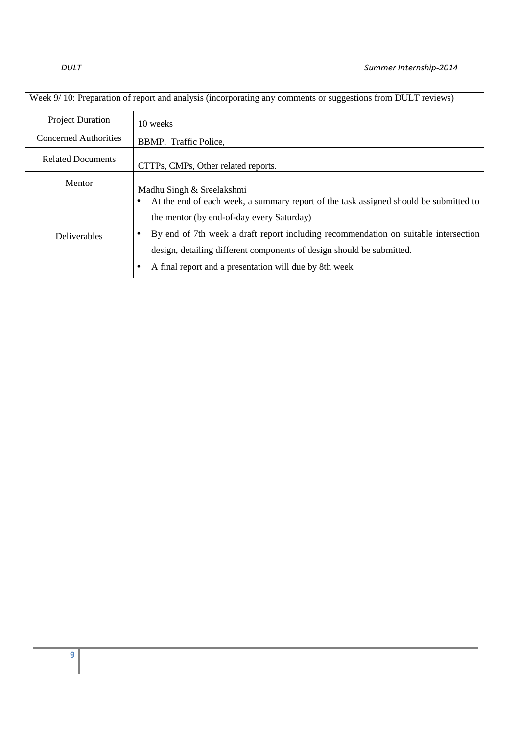| Week 9/10: Preparation of report and analysis (incorporating any comments or suggestions from DULT reviews) |                                                                                                                                                                                                                                                                                                                                                                   |  |
|-------------------------------------------------------------------------------------------------------------|-------------------------------------------------------------------------------------------------------------------------------------------------------------------------------------------------------------------------------------------------------------------------------------------------------------------------------------------------------------------|--|
| <b>Project Duration</b>                                                                                     | 10 weeks                                                                                                                                                                                                                                                                                                                                                          |  |
| <b>Concerned Authorities</b>                                                                                | BBMP, Traffic Police,                                                                                                                                                                                                                                                                                                                                             |  |
| <b>Related Documents</b>                                                                                    | CTTPs, CMPs, Other related reports.                                                                                                                                                                                                                                                                                                                               |  |
| Mentor                                                                                                      | Madhu Singh & Sreelakshmi                                                                                                                                                                                                                                                                                                                                         |  |
| <b>Deliverables</b>                                                                                         | At the end of each week, a summary report of the task assigned should be submitted to<br>c<br>the mentor (by end-of-day every Saturday)<br>By end of 7th week a draft report including recommendation on suitable intersection<br>design, detailing different components of design should be submitted.<br>A final report and a presentation will due by 8th week |  |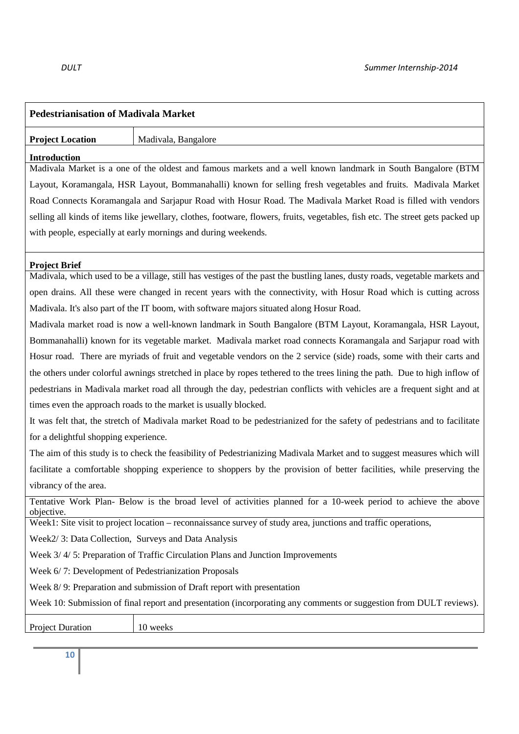| <b>Pedestrianisation of Madivala Market</b>                                                                                    |                                                                                                                             |  |
|--------------------------------------------------------------------------------------------------------------------------------|-----------------------------------------------------------------------------------------------------------------------------|--|
| <b>Project Location</b>                                                                                                        | Madivala, Bangalore                                                                                                         |  |
| <b>Introduction</b>                                                                                                            |                                                                                                                             |  |
| Madivala Market is a one of the oldest and famous markets and a well known landmark in South Bangalore (BTM                    |                                                                                                                             |  |
| Layout, Koramangala, HSR Layout, Bommanahalli) known for selling fresh vegetables and fruits. Madivala Market                  |                                                                                                                             |  |
| Road Connects Koramangala and Sarjapur Road with Hosur Road. The Madivala Market Road is filled with vendors                   |                                                                                                                             |  |
| selling all kinds of items like jewellary, clothes, footware, flowers, fruits, vegetables, fish etc. The street gets packed up |                                                                                                                             |  |
|                                                                                                                                | with people, especially at early mornings and during weekends.                                                              |  |
| <b>Project Brief</b>                                                                                                           |                                                                                                                             |  |
|                                                                                                                                | Madivala, which used to be a village, still has vestiges of the past the bustling lanes, dusty roads, vegetable markets and |  |
|                                                                                                                                | open drains. All these were changed in recent years with the connectivity, with Hosur Road which is cutting across          |  |
|                                                                                                                                | Madivala. It's also part of the IT boom, with software majors situated along Hosur Road.                                    |  |
|                                                                                                                                | Madivala market road is now a well-known landmark in South Bangalore (BTM Layout, Koramangala, HSR Layout,                  |  |
| Bommanahalli) known for its vegetable market. Madivala market road connects Koramangala and Sarjapur road with                 |                                                                                                                             |  |
| Hosur road. There are myriads of fruit and vegetable vendors on the 2 service (side) roads, some with their carts and          |                                                                                                                             |  |
|                                                                                                                                | the others under colorful awnings stretched in place by ropes tethered to the trees lining the path. Due to high inflow of  |  |
| pedestrians in Madivala market road all through the day, pedestrian conflicts with vehicles are a frequent sight and at        |                                                                                                                             |  |
|                                                                                                                                | times even the approach roads to the market is usually blocked.                                                             |  |
|                                                                                                                                | It was felt that, the stretch of Madivala market Road to be pedestrianized for the safety of pedestrians and to facilitate  |  |
| for a delightful shopping experience.                                                                                          |                                                                                                                             |  |
| The aim of this study is to check the feasibility of Pedestrianizing Madivala Market and to suggest measures which will        |                                                                                                                             |  |
| facilitate a comfortable shopping experience to shoppers by the provision of better facilities, while preserving the           |                                                                                                                             |  |
| vibrancy of the area.                                                                                                          |                                                                                                                             |  |
| objective.                                                                                                                     | Tentative Work Plan- Below is the broad level of activities planned for a 10-week period to achieve the above               |  |
| Week1: Site visit to project location – reconnaissance survey of study area, junctions and traffic operations,                 |                                                                                                                             |  |
| Week2/3: Data Collection, Surveys and Data Analysis                                                                            |                                                                                                                             |  |
| Week 3/4/5: Preparation of Traffic Circulation Plans and Junction Improvements                                                 |                                                                                                                             |  |
| Week 6/7: Development of Pedestrianization Proposals                                                                           |                                                                                                                             |  |
| Week 8/9: Preparation and submission of Draft report with presentation                                                         |                                                                                                                             |  |
| Week 10: Submission of final report and presentation (incorporating any comments or suggestion from DULT reviews).             |                                                                                                                             |  |
| <b>Project Duration</b>                                                                                                        | 10 weeks                                                                                                                    |  |
|                                                                                                                                |                                                                                                                             |  |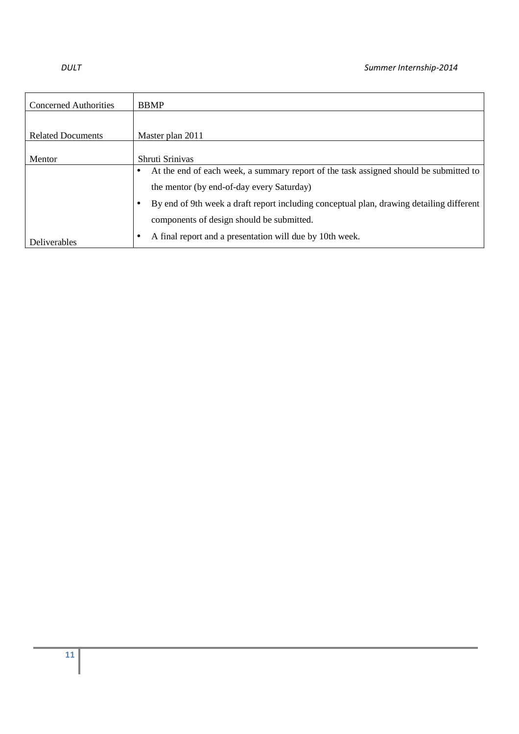| <b>Concerned Authorities</b> | <b>BBMP</b>                                                                                        |  |
|------------------------------|----------------------------------------------------------------------------------------------------|--|
|                              |                                                                                                    |  |
| <b>Related Documents</b>     | Master plan 2011                                                                                   |  |
|                              |                                                                                                    |  |
| Mentor                       | Shruti Srinivas                                                                                    |  |
|                              | At the end of each week, a summary report of the task assigned should be submitted to<br>$\bullet$ |  |
|                              | the mentor (by end-of-day every Saturday)                                                          |  |
|                              | By end of 9th week a draft report including conceptual plan, drawing detailing different           |  |
|                              | components of design should be submitted.                                                          |  |
| <b>Deliverables</b>          | A final report and a presentation will due by 10th week.<br>٠                                      |  |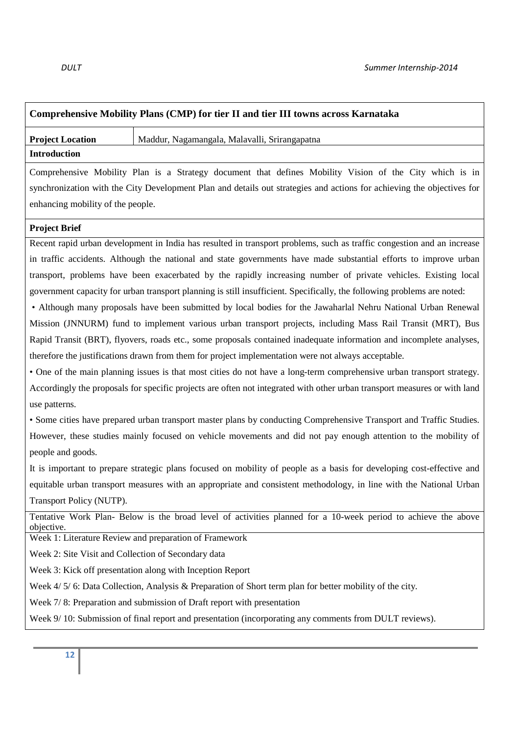## **Comprehensive Mobility Plans (CMP) for tier II and tier III towns across Karnataka**

**Project Location | Maddur, Nagamangala, Malavalli, Srirangapatna Introduction** 

Comprehensive Mobility Plan is a Strategy document that defines Mobility Vision of the City which is in synchronization with the City Development Plan and details out strategies and actions for achieving the objectives for enhancing mobility of the people.

### **Project Brief**

Recent rapid urban development in India has resulted in transport problems, such as traffic congestion and an increase in traffic accidents. Although the national and state governments have made substantial efforts to improve urban transport, problems have been exacerbated by the rapidly increasing number of private vehicles. Existing local government capacity for urban transport planning is still insufficient. Specifically, the following problems are noted:

 • Although many proposals have been submitted by local bodies for the Jawaharlal Nehru National Urban Renewal Mission (JNNURM) fund to implement various urban transport projects, including Mass Rail Transit (MRT), Bus Rapid Transit (BRT), flyovers, roads etc., some proposals contained inadequate information and incomplete analyses, therefore the justifications drawn from them for project implementation were not always acceptable.

• One of the main planning issues is that most cities do not have a long-term comprehensive urban transport strategy. Accordingly the proposals for specific projects are often not integrated with other urban transport measures or with land use patterns.

• Some cities have prepared urban transport master plans by conducting Comprehensive Transport and Traffic Studies. However, these studies mainly focused on vehicle movements and did not pay enough attention to the mobility of people and goods.

It is important to prepare strategic plans focused on mobility of people as a basis for developing cost-effective and equitable urban transport measures with an appropriate and consistent methodology, in line with the National Urban Transport Policy (NUTP).

Tentative Work Plan- Below is the broad level of activities planned for a 10-week period to achieve the above objective.

Week 1: Literature Review and preparation of Framework

Week 2: Site Visit and Collection of Secondary data

Week 3: Kick off presentation along with Inception Report

Week  $4/5/6$ : Data Collection, Analysis & Preparation of Short term plan for better mobility of the city.

Week 7/ 8: Preparation and submission of Draft report with presentation

Week 9/10: Submission of final report and presentation (incorporating any comments from DULT reviews).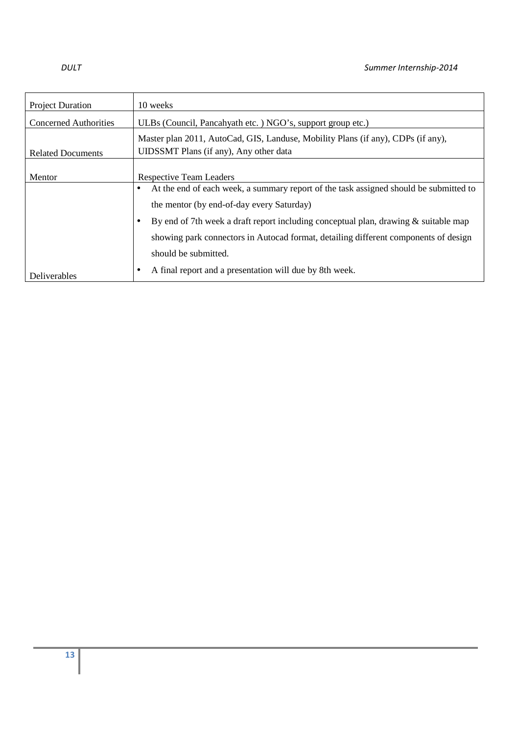| <b>Project Duration</b>      | 10 weeks                                                                                                                   |  |  |
|------------------------------|----------------------------------------------------------------------------------------------------------------------------|--|--|
| <b>Concerned Authorities</b> | ULBs (Council, Pancahyath etc.) NGO's, support group etc.)                                                                 |  |  |
| <b>Related Documents</b>     | Master plan 2011, AutoCad, GIS, Landuse, Mobility Plans (if any), CDPs (if any),<br>UIDSSMT Plans (if any), Any other data |  |  |
| Mentor                       | <b>Respective Team Leaders</b>                                                                                             |  |  |
|                              | At the end of each week, a summary report of the task assigned should be submitted to                                      |  |  |
|                              | the mentor (by end-of-day every Saturday)                                                                                  |  |  |
|                              | By end of 7th week a draft report including conceptual plan, drawing $\&$ suitable map                                     |  |  |
|                              | showing park connectors in Autocad format, detailing different components of design                                        |  |  |
|                              | should be submitted.                                                                                                       |  |  |
| Deliverables                 | A final report and a presentation will due by 8th week.                                                                    |  |  |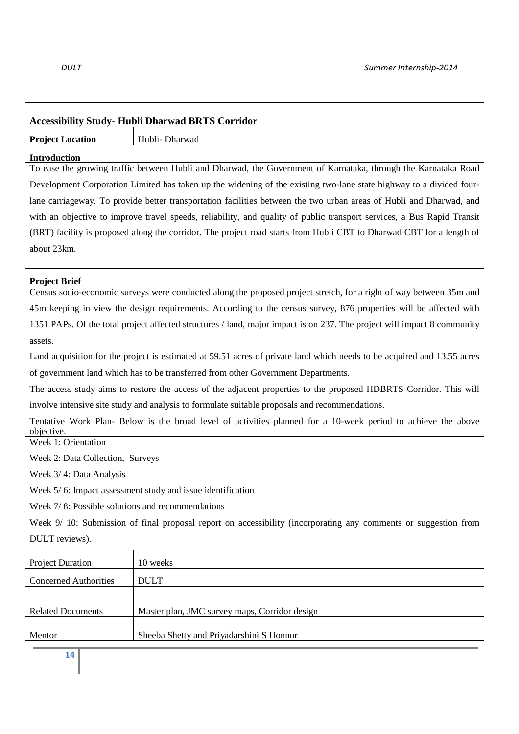$\overline{\phantom{a}}$ 

| <b>Accessibility Study- Hubli Dharwad BRTS Corridor</b>                                                                     |                                                                                                                         |  |
|-----------------------------------------------------------------------------------------------------------------------------|-------------------------------------------------------------------------------------------------------------------------|--|
| <b>Project Location</b>                                                                                                     | Hubli-Dharwad                                                                                                           |  |
| <b>Introduction</b>                                                                                                         |                                                                                                                         |  |
| To ease the growing traffic between Hubli and Dharwad, the Government of Karnataka, through the Karnataka Road              |                                                                                                                         |  |
| Development Corporation Limited has taken up the widening of the existing two-lane state highway to a divided four-         |                                                                                                                         |  |
| lane carriageway. To provide better transportation facilities between the two urban areas of Hubli and Dharwad, and         |                                                                                                                         |  |
| with an objective to improve travel speeds, reliability, and quality of public transport services, a Bus Rapid Transit      |                                                                                                                         |  |
|                                                                                                                             | (BRT) facility is proposed along the corridor. The project road starts from Hubli CBT to Dharwad CBT for a length of    |  |
| about 23km.                                                                                                                 |                                                                                                                         |  |
|                                                                                                                             |                                                                                                                         |  |
| <b>Project Brief</b>                                                                                                        |                                                                                                                         |  |
|                                                                                                                             | Census socio-economic surveys were conducted along the proposed project stretch, for a right of way between 35m and     |  |
|                                                                                                                             | 45m keeping in view the design requirements. According to the census survey, 876 properties will be affected with       |  |
|                                                                                                                             | 1351 PAPs. Of the total project affected structures / land, major impact is on 237. The project will impact 8 community |  |
| assets.                                                                                                                     |                                                                                                                         |  |
|                                                                                                                             | Land acquisition for the project is estimated at 59.51 acres of private land which needs to be acquired and 13.55 acres |  |
|                                                                                                                             | of government land which has to be transferred from other Government Departments.                                       |  |
|                                                                                                                             | The access study aims to restore the access of the adjacent properties to the proposed HDBRTS Corridor. This will       |  |
| involve intensive site study and analysis to formulate suitable proposals and recommendations.                              |                                                                                                                         |  |
| Tentative Work Plan- Below is the broad level of activities planned for a 10-week period to achieve the above<br>objective. |                                                                                                                         |  |
| Week 1: Orientation                                                                                                         |                                                                                                                         |  |
| Week 2: Data Collection, Surveys                                                                                            |                                                                                                                         |  |
| Week 3/4: Data Analysis                                                                                                     |                                                                                                                         |  |
| Week 5/6: Impact assessment study and issue identification                                                                  |                                                                                                                         |  |
| Week 7/8: Possible solutions and recommendations                                                                            |                                                                                                                         |  |
| Week 9/10: Submission of final proposal report on accessibility (incorporating any comments or suggestion from              |                                                                                                                         |  |
| DULT reviews).                                                                                                              |                                                                                                                         |  |
| <b>Project Duration</b>                                                                                                     | 10 weeks                                                                                                                |  |
| <b>Concerned Authorities</b>                                                                                                | <b>DULT</b>                                                                                                             |  |
|                                                                                                                             |                                                                                                                         |  |
| <b>Related Documents</b>                                                                                                    | Master plan, JMC survey maps, Corridor design                                                                           |  |
| Mentor                                                                                                                      | Sheeba Shetty and Priyadarshini S Honnur                                                                                |  |